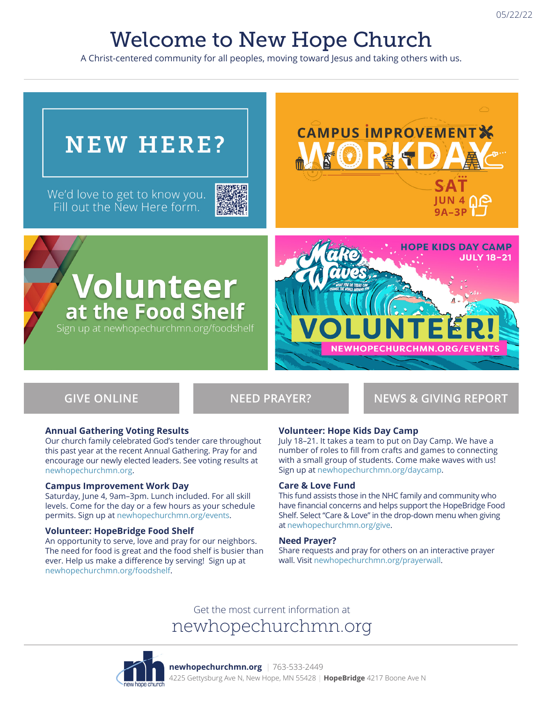# Welcome to New Hope Church

A Christ-centered community for all peoples, moving toward Jesus and taking others with us.

# **CAMPUS IMPROVEMENT NEW HERE?** We'd love to get to know you.<br>Fill out the New Here form. **JUN 4 NO**  $9A-3P$ **HOPE KIDS DAY CAMP JULY 18-21 Volunteer**<br>at the Food Shelf Sign up at newhopechurchmn.org/foodshelf

**GIVE ONLINE NEED PRAYER? NEWS & GIVING REPORT**

#### **Annual Gathering Voting Results**

Our church family celebrated God's tender care throughout this past year at the recent Annual Gathering. Pray for and encourage our newly elected leaders. See voting results at newhopechurchmn.org.

#### **Campus Improvement Work Day**

Saturday, June 4, 9am–3pm. Lunch included. For all skill levels. Come for the day or a few hours as your schedule permits. Sign up at newhopechurchmn.org/events.

#### **Volunteer: HopeBridge Food Shelf**

An opportunity to serve, love and pray for our neighbors. The need for food is great and the food shelf is busier than ever. Help us make a difference by serving! Sign up at newhopechurchmn.org/foodshelf.

#### **Volunteer: Hope Kids Day Camp**

July 18–21. It takes a team to put on Day Camp. We have a number of roles to fill from crafts and games to connecting with a small group of students. Come make waves with us! Sign up at newhopechurchmn.org/daycamp.

#### **Care & Love Fund**

This fund assists those in the NHC family and community who have financial concerns and helps support the HopeBridge Food Shelf. Select "Care & Love" in the drop-down menu when giving at newhopechurchmn.org/give.

#### **Need Prayer?**

Share requests and pray for others on an interactive prayer wall. Visit newhopechurchmn.org/prayerwall.

### Get the most current information at newhopechurchmn.org